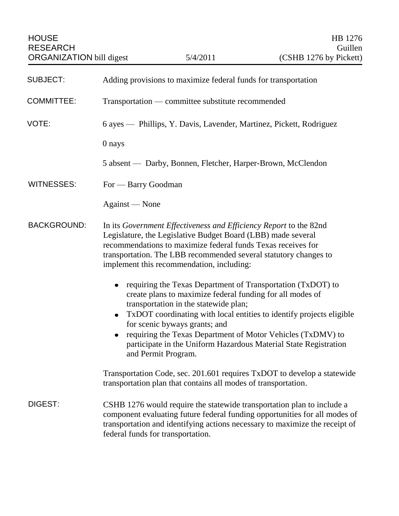| <b>SUBJECT:</b>    | Adding provisions to maximize federal funds for transportation                                                                                                                                                                                                                                                                                                                                                                            |
|--------------------|-------------------------------------------------------------------------------------------------------------------------------------------------------------------------------------------------------------------------------------------------------------------------------------------------------------------------------------------------------------------------------------------------------------------------------------------|
| <b>COMMITTEE:</b>  | Transportation — committee substitute recommended                                                                                                                                                                                                                                                                                                                                                                                         |
| VOTE:              | 6 ayes — Phillips, Y. Davis, Lavender, Martinez, Pickett, Rodriguez                                                                                                                                                                                                                                                                                                                                                                       |
|                    | 0 nays                                                                                                                                                                                                                                                                                                                                                                                                                                    |
|                    | 5 absent — Darby, Bonnen, Fletcher, Harper-Brown, McClendon                                                                                                                                                                                                                                                                                                                                                                               |
| <b>WITNESSES:</b>  | For — Barry Goodman                                                                                                                                                                                                                                                                                                                                                                                                                       |
|                    | Against - None                                                                                                                                                                                                                                                                                                                                                                                                                            |
| <b>BACKGROUND:</b> | In its Government Effectiveness and Efficiency Report to the 82nd<br>Legislature, the Legislative Budget Board (LBB) made several<br>recommendations to maximize federal funds Texas receives for<br>transportation. The LBB recommended several statutory changes to<br>implement this recommendation, including:                                                                                                                        |
|                    | requiring the Texas Department of Transportation (TxDOT) to<br>create plans to maximize federal funding for all modes of<br>transportation in the statewide plan;<br>TxDOT coordinating with local entities to identify projects eligible<br>٠<br>for scenic byways grants; and<br>requiring the Texas Department of Motor Vehicles (TxDMV) to<br>participate in the Uniform Hazardous Material State Registration<br>and Permit Program. |
|                    | Transportation Code, sec. 201.601 requires TxDOT to develop a statewide<br>transportation plan that contains all modes of transportation.                                                                                                                                                                                                                                                                                                 |
| DIGEST:            | CSHB 1276 would require the statewide transportation plan to include a<br>component evaluating future federal funding opportunities for all modes of<br>transportation and identifying actions necessary to maximize the receipt of<br>federal funds for transportation.                                                                                                                                                                  |